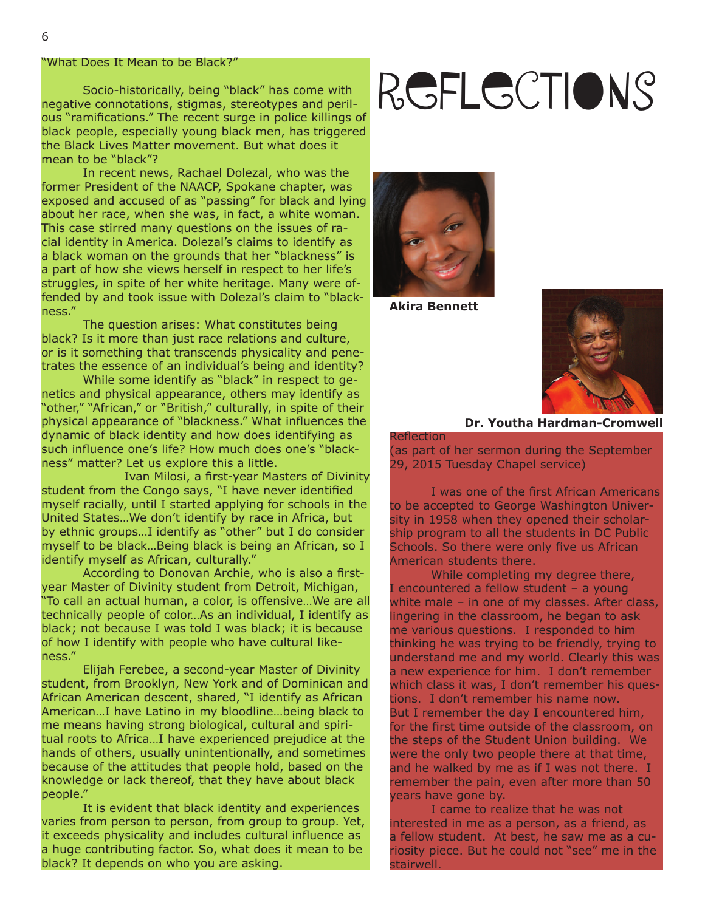#### "What Does It Mean to be Black?"

 Socio-historically, being "black" has come with negative connotations, stigmas, stereotypes and perilous "ramifications." The recent surge in police killings of black people, especially young black men, has triggered the Black Lives Matter movement. But what does it mean to be "black"?

 In recent news, Rachael Dolezal, who was the former President of the NAACP, Spokane chapter, was exposed and accused of as "passing" for black and lying about her race, when she was, in fact, a white woman. This case stirred many questions on the issues of racial identity in America. Dolezal's claims to identify as a black woman on the grounds that her "blackness" is a part of how she views herself in respect to her life's struggles, in spite of her white heritage. Many were offended by and took issue with Dolezal's claim to "blackness."

 The question arises: What constitutes being black? Is it more than just race relations and culture, or is it something that transcends physicality and penetrates the essence of an individual's being and identity?

 While some identify as "black" in respect to genetics and physical appearance, others may identify as "other," "African," or "British," culturally, in spite of their physical appearance of "blackness." What influences the dynamic of black identity and how does identifying as such influence one's life? How much does one's "blackness" matter? Let us explore this a little.

Ivan Milosi, a first-year Masters of Divinity student from the Congo says, "I have never identified myself racially, until I started applying for schools in the United States…We don't identify by race in Africa, but by ethnic groups…I identify as "other" but I do consider myself to be black…Being black is being an African, so I identify myself as African, culturally."

According to Donovan Archie, who is also a firstyear Master of Divinity student from Detroit, Michigan, "To call an actual human, a color, is offensive…We are all technically people of color…As an individual, I identify as black; not because I was told I was black; it is because of how I identify with people who have cultural likeness."

 Elijah Ferebee, a second-year Master of Divinity student, from Brooklyn, New York and of Dominican and African American descent, shared, "I identify as African American…I have Latino in my bloodline…being black to me means having strong biological, cultural and spiritual roots to Africa…I have experienced prejudice at the hands of others, usually unintentionally, and sometimes because of the attitudes that people hold, based on the knowledge or lack thereof, that they have about black people."

 It is evident that black identity and experiences varies from person to person, from group to group. Yet, it exceeds physicality and includes cultural influence as a huge contributing factor. So, what does it mean to be black? It depends on who you are asking.

# Reflections



**Akira Bennett**



#### **Dr. Youtha Hardman-Cromwell**

**Reflection** (as part of her sermon during the September 29, 2015 Tuesday Chapel service)

I was one of the first African Americans to be accepted to George Washington University in 1958 when they opened their scholarship program to all the students in DC Public Schools. So there were only five us African American students there.

 While completing my degree there, I encountered a fellow student – a young white male – in one of my classes. After class, lingering in the classroom, he began to ask me various questions. I responded to him thinking he was trying to be friendly, trying to understand me and my world. Clearly this was a new experience for him. I don't remember which class it was, I don't remember his questions. I don't remember his name now. But I remember the day I encountered him, for the first time outside of the classroom, on the steps of the Student Union building. We were the only two people there at that time, and he walked by me as if I was not there. I remember the pain, even after more than 50 years have gone by.

 I came to realize that he was not interested in me as a person, as a friend, as a fellow student. At best, he saw me as a curiosity piece. But he could not "see" me in the stairwell.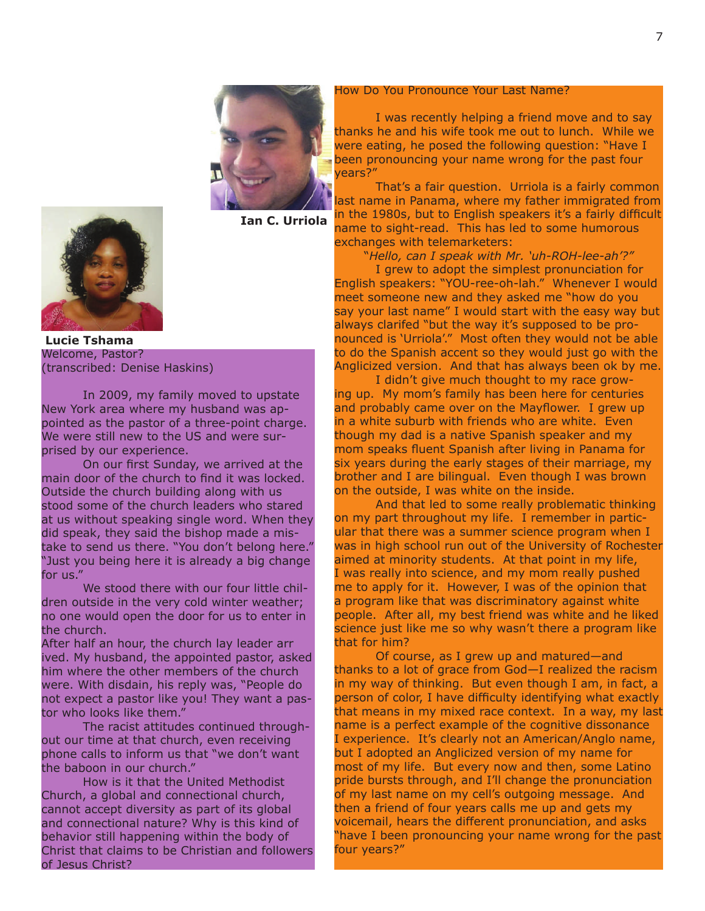





Welcome, Pastor? (transcribed: Denise Haskins)  **Lucie Tshama**

 In 2009, my family moved to upstate New York area where my husband was appointed as the pastor of a three-point charge. We were still new to the US and were surprised by our experience.

On our first Sunday, we arrived at the main door of the church to find it was locked. Outside the church building along with us stood some of the church leaders who stared at us without speaking single word. When they did speak, they said the bishop made a mistake to send us there. "You don't belong here." "Just you being here it is already a big change for us."

 We stood there with our four little children outside in the very cold winter weather; no one would open the door for us to enter in the church.

After half an hour, the church lay leader arr ived. My husband, the appointed pastor, asked him where the other members of the church were. With disdain, his reply was, "People do not expect a pastor like you! They want a pastor who looks like them."

 The racist attitudes continued throughout our time at that church, even receiving phone calls to inform us that "we don't want the baboon in our church."

 How is it that the United Methodist Church, a global and connectional church, cannot accept diversity as part of its global and connectional nature? Why is this kind of behavior still happening within the body of Christ that claims to be Christian and followers of Jesus Christ?

#### How Do You Pronounce Your Last Name?

 I was recently helping a friend move and to say thanks he and his wife took me out to lunch. While we were eating, he posed the following question: "Have I been pronouncing your name wrong for the past four years?"

 That's a fair question. Urriola is a fairly common ast name in Panama, where my father immigrated from in the 1980s, but to English speakers it's a fairly difficult name to sight-read. This has led to some humorous exchanges with telemarketers:

"*Hello, can I speak with Mr. 'uh-ROH-lee-ah'?"*

 I grew to adopt the simplest pronunciation for English speakers: "YOU-ree-oh-lah." Whenever I would meet someone new and they asked me "how do you say your last name" I would start with the easy way but always clarifed "but the way it's supposed to be pronounced is 'Urriola'." Most often they would not be able to do the Spanish accent so they would just go with the Anglicized version. And that has always been ok by me.

 I didn't give much thought to my race growing up. My mom's family has been here for centuries and probably came over on the Mayflower. I grew up in a white suburb with friends who are white. Even though my dad is a native Spanish speaker and my mom speaks fluent Spanish after living in Panama for six years during the early stages of their marriage, my brother and I are bilingual. Even though I was brown on the outside, I was white on the inside.

 And that led to some really problematic thinking on my part throughout my life. I remember in particular that there was a summer science program when I was in high school run out of the University of Rochester aimed at minority students. At that point in my life, I was really into science, and my mom really pushed me to apply for it. However, I was of the opinion that a program like that was discriminatory against white people. After all, my best friend was white and he liked science just like me so why wasn't there a program like that for him?

 Of course, as I grew up and matured—and thanks to a lot of grace from God—I realized the racism in my way of thinking. But even though I am, in fact, a person of color, I have difficulty identifying what exactly that means in my mixed race context. In a way, my last name is a perfect example of the cognitive dissonance I experience. It's clearly not an American/Anglo name, but I adopted an Anglicized version of my name for most of my life. But every now and then, some Latino pride bursts through, and I'll change the pronunciation of my last name on my cell's outgoing message. And then a friend of four years calls me up and gets my voicemail, hears the different pronunciation, and asks "have I been pronouncing your name wrong for the past four years?"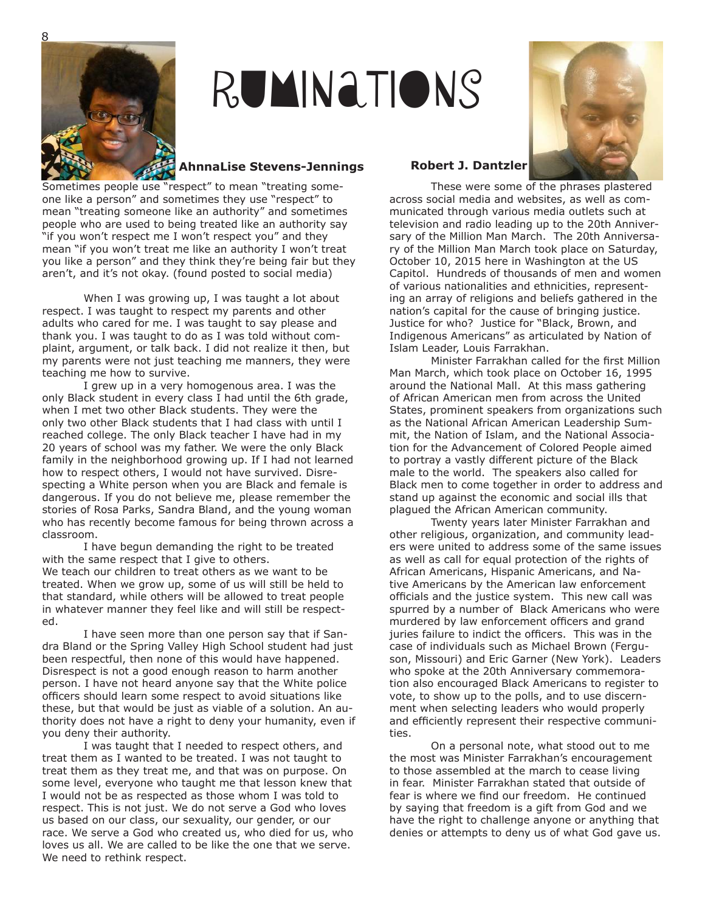

## Ruminations

### **AhnnaLise Stevens-Jennings Robert J. Dantzler**

Sometimes people use "respect" to mean "treating someone like a person" and sometimes they use "respect" to mean "treating someone like an authority" and sometimes people who are used to being treated like an authority say "if you won't respect me I won't respect you" and they mean "if you won't treat me like an authority I won't treat you like a person" and they think they're being fair but they aren't, and it's not okay. (found posted to social media)

When I was growing up, I was taught a lot about respect. I was taught to respect my parents and other adults who cared for me. I was taught to say please and thank you. I was taught to do as I was told without complaint, argument, or talk back. I did not realize it then, but my parents were not just teaching me manners, they were teaching me how to survive.

I grew up in a very homogenous area. I was the only Black student in every class I had until the 6th grade, when I met two other Black students. They were the only two other Black students that I had class with until I reached college. The only Black teacher I have had in my 20 years of school was my father. We were the only Black family in the neighborhood growing up. If I had not learned how to respect others, I would not have survived. Disrespecting a White person when you are Black and female is dangerous. If you do not believe me, please remember the stories of Rosa Parks, Sandra Bland, and the young woman who has recently become famous for being thrown across a classroom.

I have begun demanding the right to be treated with the same respect that I give to others. We teach our children to treat others as we want to be treated. When we grow up, some of us will still be held to that standard, while others will be allowed to treat people in whatever manner they feel like and will still be respected.

I have seen more than one person say that if Sandra Bland or the Spring Valley High School student had just been respectful, then none of this would have happened. Disrespect is not a good enough reason to harm another person. I have not heard anyone say that the White police officers should learn some respect to avoid situations like these, but that would be just as viable of a solution. An authority does not have a right to deny your humanity, even if you deny their authority.

I was taught that I needed to respect others, and treat them as I wanted to be treated. I was not taught to treat them as they treat me, and that was on purpose. On some level, everyone who taught me that lesson knew that I would not be as respected as those whom I was told to respect. This is not just. We do not serve a God who loves us based on our class, our sexuality, our gender, or our race. We serve a God who created us, who died for us, who loves us all. We are called to be like the one that we serve. We need to rethink respect.

These were some of the phrases plastered across social media and websites, as well as communicated through various media outlets such at television and radio leading up to the 20th Anniversary of the Million Man March. The 20th Anniversary of the Million Man March took place on Saturday, October 10, 2015 here in Washington at the US Capitol. Hundreds of thousands of men and women of various nationalities and ethnicities, representing an array of religions and beliefs gathered in the nation's capital for the cause of bringing justice. Justice for who? Justice for "Black, Brown, and Indigenous Americans" as articulated by Nation of Islam Leader, Louis Farrakhan.

Minister Farrakhan called for the first Million Man March, which took place on October 16, 1995 around the National Mall. At this mass gathering of African American men from across the United States, prominent speakers from organizations such as the National African American Leadership Summit, the Nation of Islam, and the National Association for the Advancement of Colored People aimed to portray a vastly different picture of the Black male to the world. The speakers also called for Black men to come together in order to address and stand up against the economic and social ills that plagued the African American community.

Twenty years later Minister Farrakhan and other religious, organization, and community leaders were united to address some of the same issues as well as call for equal protection of the rights of African Americans, Hispanic Americans, and Native Americans by the American law enforcement officials and the justice system. This new call was spurred by a number of Black Americans who were murdered by law enforcement officers and grand juries failure to indict the officers. This was in the case of individuals such as Michael Brown (Ferguson, Missouri) and Eric Garner (New York). Leaders who spoke at the 20th Anniversary commemoration also encouraged Black Americans to register to vote, to show up to the polls, and to use discernment when selecting leaders who would properly and efficiently represent their respective communities.

On a personal note, what stood out to me the most was Minister Farrakhan's encouragement to those assembled at the march to cease living in fear. Minister Farrakhan stated that outside of fear is where we find our freedom. He continued by saying that freedom is a gift from God and we have the right to challenge anyone or anything that denies or attempts to deny us of what God gave us.



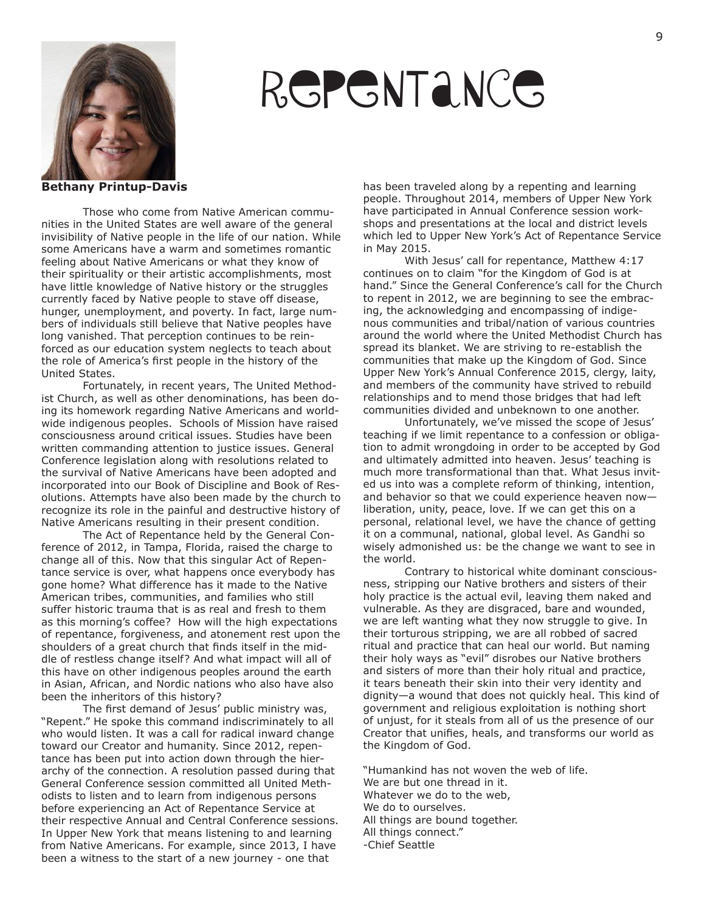

## **REPENTANCE**

**Bethany Printup-Davis**

Those who come from Native American communities in the United States are well aware of the general invisibility of Native people in the life of our nation. While some Americans have a warm and sometimes romantic feeling about Native Americans or what they know of their spirituality or their artistic accomplishments, most have little knowledge of Native history or the struggles currently faced by Native people to stave off disease, hunger, unemployment, and poverty. In fact, large numbers of individuals still believe that Native peoples have long vanished. That perception continues to be reinforced as our education system neglects to teach about the role of America's first people in the history of the United States.

Fortunately, in recent years, The United Methodist Church, as well as other denominations, has been doing its homework regarding Native Americans and worldwide indigenous peoples. Schools of Mission have raised consciousness around critical issues. Studies have been written commanding attention to justice issues. General Conference legislation along with resolutions related to the survival of Native Americans have been adopted and incorporated into our Book of Discipline and Book of Resolutions. Attempts have also been made by the church to recognize its role in the painful and destructive history of Native Americans resulting in their present condition.

The Act of Repentance held by the General Conference of 2012, in Tampa, Florida, raised the charge to change all of this. Now that this singular Act of Repentance service is over, what happens once everybody has gone home? What difference has it made to the Native American tribes, communities, and families who still suffer historic trauma that is as real and fresh to them as this morning's coffee? How will the high expectations of repentance, forgiveness, and atonement rest upon the shoulders of a great church that finds itself in the middle of restless change itself? And what impact will all of this have on other indigenous peoples around the earth in Asian, African, and Nordic nations who also have also been the inheritors of this history?

The first demand of Jesus' public ministry was, "Repent." He spoke this command indiscriminately to all who would listen. It was a call for radical inward change toward our Creator and humanity. Since 2012, repentance has been put into action down through the hierarchy of the connection. A resolution passed during that General Conference session committed all United Methodists to listen and to learn from indigenous persons before experiencing an Act of Repentance Service at their respective Annual and Central Conference sessions. In Upper New York that means listening to and learning from Native Americans. For example, since 2013, I have been a witness to the start of a new journey - one that

has been traveled along by a repenting and learning people. Throughout 2014, members of Upper New York have participated in Annual Conference session workshops and presentations at the local and district levels which led to Upper New York's Act of Repentance Service in May 2015.

With Jesus' call for repentance, Matthew 4:17 continues on to claim "for the Kingdom of God is at hand." Since the General Conference's call for the Church to repent in 2012, we are beginning to see the embracing, the acknowledging and encompassing of indigenous communities and tribal/nation of various countries around the world where the United Methodist Church has spread its blanket. We are striving to re-establish the communities that make up the Kingdom of God. Since Upper New York's Annual Conference 2015, clergy, laity, and members of the community have strived to rebuild relationships and to mend those bridges that had left communities divided and unbeknown to one another.

Unfortunately, we've missed the scope of Jesus' teaching if we limit repentance to a confession or obligation to admit wrongdoing in order to be accepted by God and ultimately admitted into heaven. Jesus' teaching is much more transformational than that. What Jesus invited us into was a complete reform of thinking, intention, and behavior so that we could experience heaven now liberation, unity, peace, love. If we can get this on a personal, relational level, we have the chance of getting it on a communal, national, global level. As Gandhi so wisely admonished us: be the change we want to see in the world.

Contrary to historical white dominant consciousness, stripping our Native brothers and sisters of their holy practice is the actual evil, leaving them naked and vulnerable. As they are disgraced, bare and wounded, we are left wanting what they now struggle to give. In their torturous stripping, we are all robbed of sacred ritual and practice that can heal our world. But naming their holy ways as "evil" disrobes our Native brothers and sisters of more than their holy ritual and practice, it tears beneath their skin into their very identity and dignity—a wound that does not quickly heal. This kind of government and religious exploitation is nothing short of unjust, for it steals from all of us the presence of our Creator that unifies, heals, and transforms our world as the Kingdom of God.

"Humankind has not woven the web of life. We are but one thread in it. Whatever we do to the web, We do to ourselves. All things are bound together. All things connect." -Chief Seattle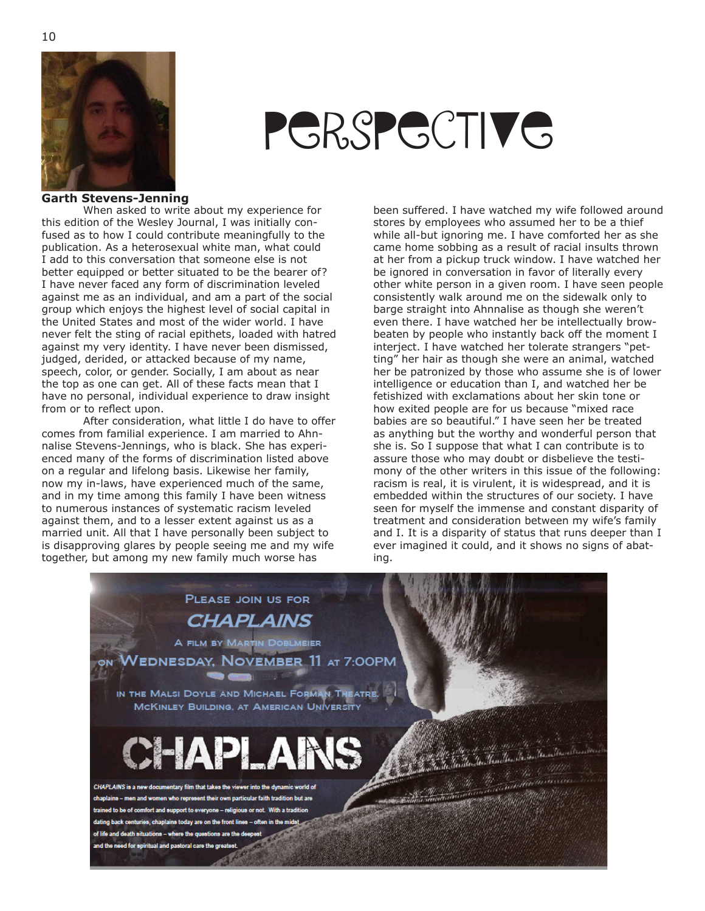



#### **Garth Stevens-Jenning**

When asked to write about my experience for this edition of the Wesley Journal, I was initially confused as to how I could contribute meaningfully to the publication. As a heterosexual white man, what could I add to this conversation that someone else is not better equipped or better situated to be the bearer of? I have never faced any form of discrimination leveled against me as an individual, and am a part of the social group which enjoys the highest level of social capital in the United States and most of the wider world. I have never felt the sting of racial epithets, loaded with hatred against my very identity. I have never been dismissed, judged, derided, or attacked because of my name, speech, color, or gender. Socially, I am about as near the top as one can get. All of these facts mean that I have no personal, individual experience to draw insight from or to reflect upon.

After consideration, what little I do have to offer comes from familial experience. I am married to Ahnnalise Stevens-Jennings, who is black. She has experienced many of the forms of discrimination listed above on a regular and lifelong basis. Likewise her family, now my in-laws, have experienced much of the same, and in my time among this family I have been witness to numerous instances of systematic racism leveled against them, and to a lesser extent against us as a married unit. All that I have personally been subject to is disapproving glares by people seeing me and my wife together, but among my new family much worse has

been suffered. I have watched my wife followed around stores by employees who assumed her to be a thief while all-but ignoring me. I have comforted her as she came home sobbing as a result of racial insults thrown at her from a pickup truck window. I have watched her be ignored in conversation in favor of literally every other white person in a given room. I have seen people consistently walk around me on the sidewalk only to barge straight into Ahnnalise as though she weren't even there. I have watched her be intellectually browbeaten by people who instantly back off the moment I interject. I have watched her tolerate strangers "petting" her hair as though she were an animal, watched her be patronized by those who assume she is of lower intelligence or education than I, and watched her be fetishized with exclamations about her skin tone or how exited people are for us because "mixed race babies are so beautiful." I have seen her be treated as anything but the worthy and wonderful person that she is. So I suppose that what I can contribute is to assure those who may doubt or disbelieve the testimony of the other writers in this issue of the following: racism is real, it is virulent, it is widespread, and it is embedded within the structures of our society. I have seen for myself the immense and constant disparity of treatment and consideration between my wife's family and I. It is a disparity of status that runs deeper than I ever imagined it could, and it shows no signs of abating.

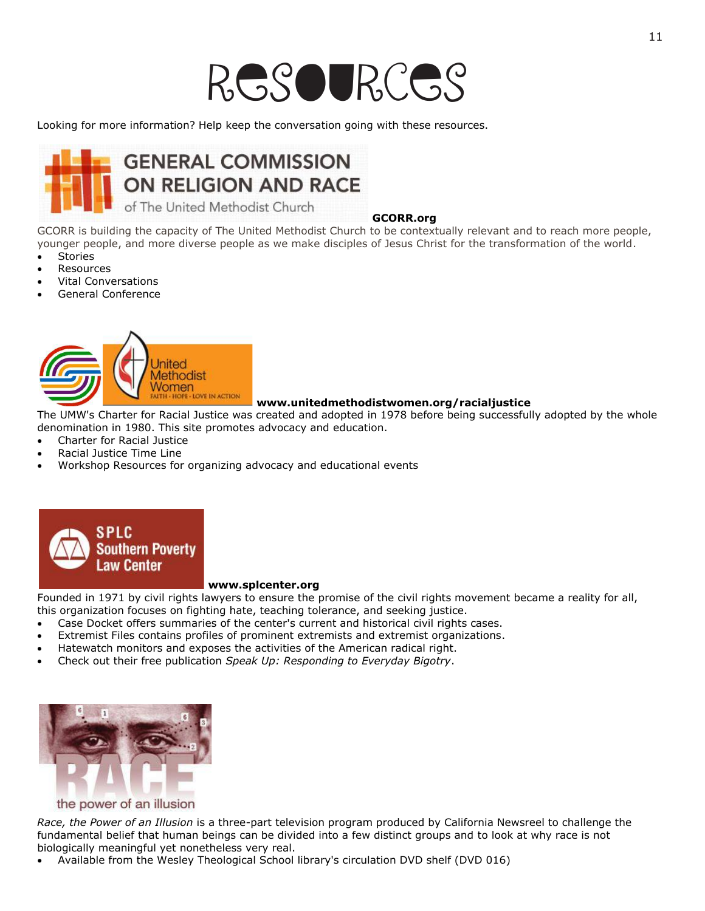Looking for more information? Help keep the conversation going with these resources.



#### **GCORR.org**

GCORR is building the capacity of The United Methodist Church to be contextually relevant and to reach more people, younger people, and more diverse people as we make disciples of Jesus Christ for the transformation of the world.

- Stories
- Resources
- Vital Conversations
- General Conference



#### **www.unitedmethodistwomen.org/racialjustice**

The UMW's Charter for Racial Justice was created and adopted in 1978 before being successfully adopted by the whole denomination in 1980. This site promotes advocacy and education.

- Charter for Racial Justice
- Racial Justice Time Line
- Workshop Resources for organizing advocacy and educational events



#### **www.splcenter.org**

Founded in 1971 by civil rights lawyers to ensure the promise of the civil rights movement became a reality for all, this organization focuses on fighting hate, teaching tolerance, and seeking justice.

- Case Docket offers summaries of the center's current and historical civil rights cases.
- Extremist Files contains profiles of prominent extremists and extremist organizations.
- Hatewatch monitors and exposes the activities of the American radical right.
- Check out their free publication *Speak Up: Responding to Everyday Bigotry*.



### the power of an illusion

*Race, the Power of an Illusion* is a three-part television program produced by California Newsreel to challenge the fundamental belief that human beings can be divided into a few distinct groups and to look at why race is not biologically meaningful yet nonetheless very real.

Available from the Wesley Theological School library's circulation DVD shelf (DVD 016)